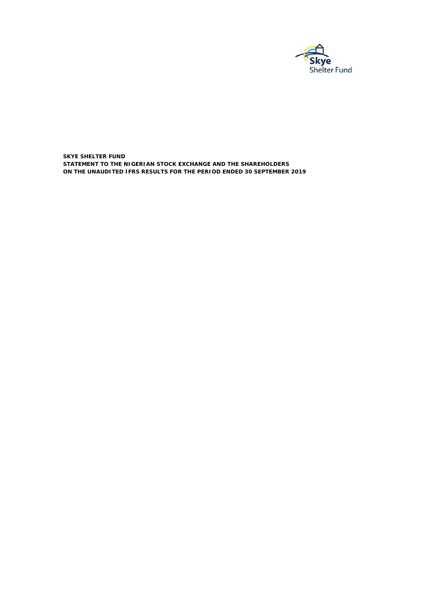

**SKYE SHELTER FUND ON THE UNAUDITED IFRS RESULTS FOR THE PERIOD ENDED 30 SEPTEMBER 2019 STATEMENT TO THE NIGERIAN STOCK EXCHANGE AND THE SHAREHOLDERS**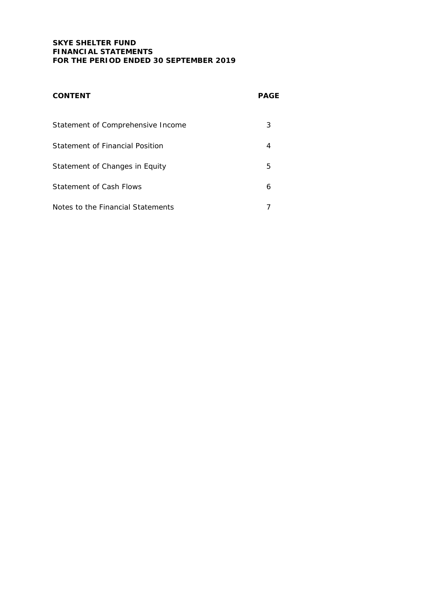# **SKYE SHELTER FUND FINANCIAL STATEMENTS FOR THE PERIOD ENDED 30 SEPTEMBER 2019**

| <b>CONTENT</b>                    | <b>PAGE</b> |
|-----------------------------------|-------------|
| Statement of Comprehensive Income | 3           |
| Statement of Financial Position   |             |
| Statement of Changes in Equity    | 5           |
| Statement of Cash Flows           | 6           |
| Notes to the Financial Statements |             |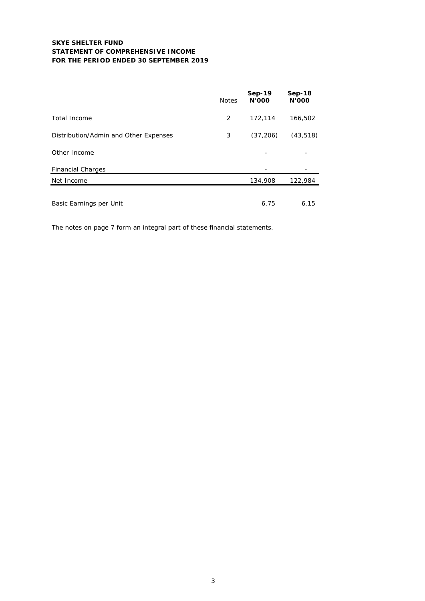## **SKYE SHELTER FUND STATEMENT OF COMPREHENSIVE INCOME FOR THE PERIOD ENDED 30 SEPTEMBER 2019**

|                                       | <b>Notes</b> | <b>Sep-19</b><br><b>N'OOO</b> | $Sep-18$<br><b>N'OOO</b> |
|---------------------------------------|--------------|-------------------------------|--------------------------|
| Total Income                          | 2            | 172,114                       | 166,502                  |
| Distribution/Admin and Other Expenses | 3            | (37, 206)                     | (43, 518)                |
| Other Income                          |              |                               |                          |
| <b>Financial Charges</b>              |              |                               |                          |
| Net Income                            |              | 134,908                       | 122,984                  |
| Basic Earnings per Unit               |              | 6.75                          | 6.15                     |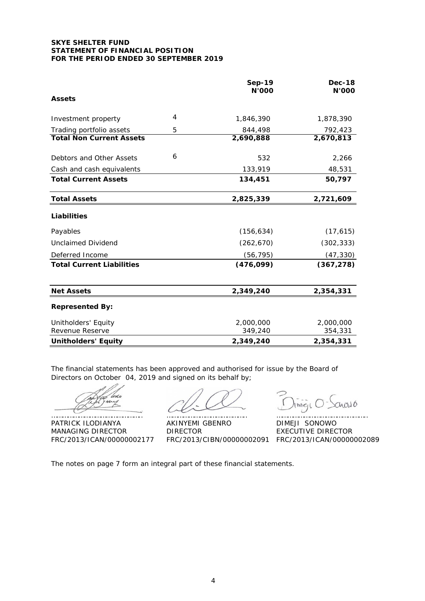### **SKYE SHELTER FUND STATEMENT OF FINANCIAL POSITION FOR THE PERIOD ENDED 30 SEPTEMBER 2019**

|                                        |                | <b>Sep-19</b><br><b>N'000</b> | <b>Dec-18</b><br>N'000 |
|----------------------------------------|----------------|-------------------------------|------------------------|
| <b>Assets</b>                          |                |                               |                        |
| Investment property                    | $\overline{4}$ | 1,846,390                     | 1,878,390              |
| Trading portfolio assets               | 5              | 844,498                       | 792,423                |
| <b>Total Non Current Assets</b>        |                | 2,690,888                     | 2,670,813              |
| Debtors and Other Assets               | 6              | 532                           | 2,266                  |
| Cash and cash equivalents              |                | 133,919                       | 48,531                 |
| <b>Total Current Assets</b>            |                | 134,451                       | 50,797                 |
| <b>Total Assets</b>                    |                | 2,825,339                     | 2,721,609              |
| Liabilities                            |                |                               |                        |
| Payables                               |                | (156, 634)                    | (17, 615)              |
| <b>Unclaimed Dividend</b>              |                | (262, 670)                    | (302, 333)             |
| Deferred Income                        |                | (56, 795)                     | (47, 330)              |
| <b>Total Current Liabilities</b>       |                | (476, 099)                    | (367, 278)             |
| <b>Net Assets</b>                      |                | 2,349,240                     | 2,354,331              |
| <b>Represented By:</b>                 |                |                               |                        |
| Unitholders' Equity<br>Revenue Reserve |                | 2,000,000<br>349,240          | 2,000,000<br>354,331   |
| <b>Unitholders' Equity</b>             |                | 2,349,240                     | 2,354,331              |

The financial statements has been approved and authorised for issue by the Board of Directors on October 04, 2019 and signed on its behalf by;

do

PATRICK ILODIANYA AKINYEMI GBENRO DIMEJI SONOWO MANAGING DIRECTOR DIRECTOR DIRECTOR EXECUTIVE DIRECTOR

………………………………………….. …………………………………….. …………………………………………..

nas 6 Ime<sub>I</sub>c

FRC/2013/ICAN/00000002177 FRC/2013/CIBN/00000002091 FRC/2013/ICAN/00000002089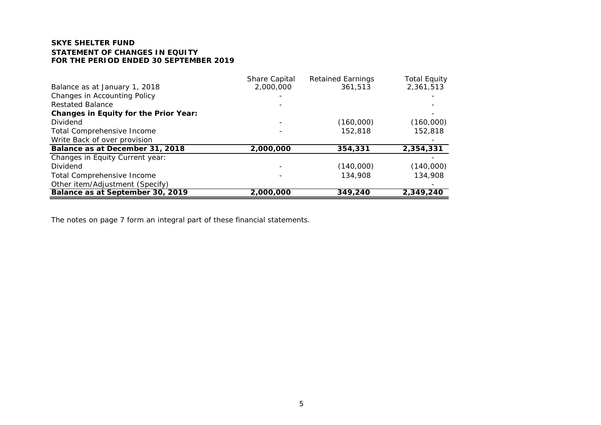# **SKYE SHELTER FUNDSTATEMENT OF CHANGES IN EQUITYFOR THE PERIOD ENDED 30 SEPTEMBER 2019**

|                                              | Share Capital | <b>Retained Earnings</b> | <b>Total Equity</b> |
|----------------------------------------------|---------------|--------------------------|---------------------|
| Balance as at January 1, 2018                | 2,000,000     | 361.513                  | 2,361,513           |
| <b>Changes in Accounting Policy</b>          |               |                          |                     |
| <b>Restated Balance</b>                      |               |                          |                     |
| <b>Changes in Equity for the Prior Year:</b> |               |                          |                     |
| Dividend                                     |               | (160,000)                | (160,000)           |
| Total Comprehensive Income                   |               | 152,818                  | 152,818             |
| Write Back of over provision                 |               |                          |                     |
| Balance as at December 31, 2018              | 2,000,000     | 354,331                  | 2,354,331           |
| Changes in Equity Current year:              |               |                          |                     |
| <b>Dividend</b>                              |               | (140,000)                | (140,000)           |
| Total Comprehensive Income                   |               | 134,908                  | 134,908             |
| Other item/Adjustment (Specify)              |               |                          |                     |
| Balance as at September 30, 2019             | 2,000,000     | 349,240                  | 2,349,240           |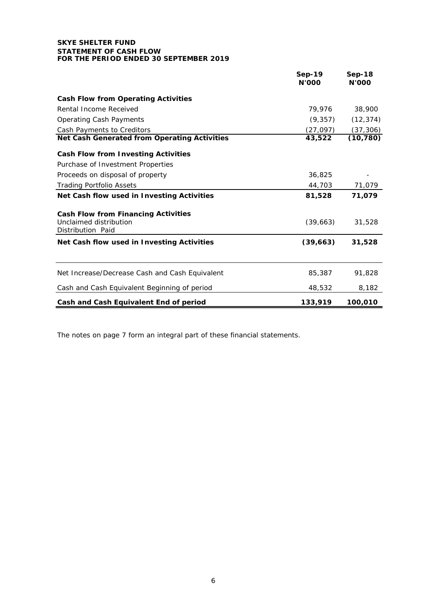### **SKYE SHELTER FUND STATEMENT OF CASH FLOW FOR THE PERIOD ENDED 30 SEPTEMBER 2019**

|                                                                                           | <b>Sep-19</b><br><b>N'OOO</b> | $Sep-18$<br><b>N'OOO</b> |
|-------------------------------------------------------------------------------------------|-------------------------------|--------------------------|
| <b>Cash Flow from Operating Activities</b>                                                |                               |                          |
| Rental Income Received                                                                    | 79,976                        | 38,900                   |
| <b>Operating Cash Payments</b>                                                            | (9, 357)                      | (12, 374)                |
| Cash Payments to Creditors                                                                | (27, 097)                     | (37, 306)                |
| <b>Net Cash Generated from Operating Activities</b>                                       | 43,522                        | (10, 780)                |
| <b>Cash Flow from Investing Activities</b>                                                |                               |                          |
| Purchase of Investment Properties                                                         |                               |                          |
| Proceeds on disposal of property                                                          | 36,825                        |                          |
| <b>Trading Portfolio Assets</b>                                                           | 44,703                        | 71,079                   |
| Net Cash flow used in Investing Activities                                                | 81,528                        | 71,079                   |
| <b>Cash Flow from Financing Activities</b><br>Unclaimed distribution<br>Distribution Paid | (39,663)                      | 31,528                   |
| Net Cash flow used in Investing Activities                                                | (39, 663)                     | 31,528                   |
| Net Increase/Decrease Cash and Cash Equivalent                                            | 85,387                        | 91,828                   |
| Cash and Cash Equivalent Beginning of period                                              | 48,532                        | 8,182                    |
| Cash and Cash Equivalent End of period                                                    | 133,919                       | 100,010                  |